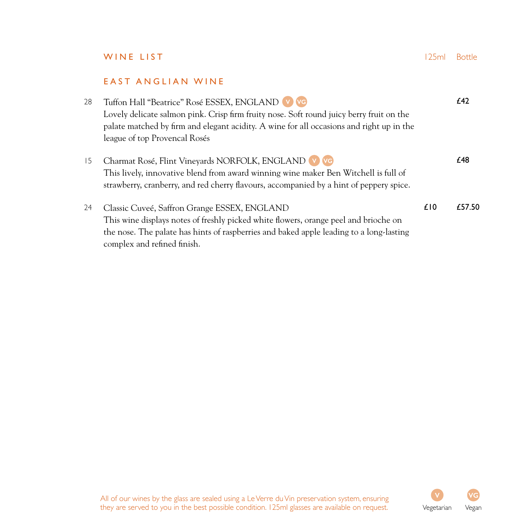|    | WINE LIST                                                                                                                                                                                                                                                                | 125ml | <b>Bottle</b> |
|----|--------------------------------------------------------------------------------------------------------------------------------------------------------------------------------------------------------------------------------------------------------------------------|-------|---------------|
|    | EAST ANGLIAN WINE                                                                                                                                                                                                                                                        |       |               |
| 28 | Tuffon Hall "Beatrice" Rosé ESSEX, ENGLAND V VG<br>Lovely delicate salmon pink. Crisp firm fruity nose. Soft round juicy berry fruit on the<br>palate matched by firm and elegant acidity. A wine for all occasions and right up in the<br>league of top Provencal Rosés |       | £42           |
| 15 | Charmat Rosé, Flint Vineyards NORFOLK, ENGLAND V VG<br>This lively, innovative blend from award winning wine maker Ben Witchell is full of<br>strawberry, cranberry, and red cherry flavours, accompanied by a hint of peppery spice.                                    |       | £48           |
| 24 | Classic Cuveé, Saffron Grange ESSEX, ENGLAND<br>This wine displays notes of freshly picked white flowers, orange peel and brioche on<br>the nose. The palate has hints of raspberries and baked apple leading to a long-lasting<br>complex and refined finish.           | £10   | £57.50        |

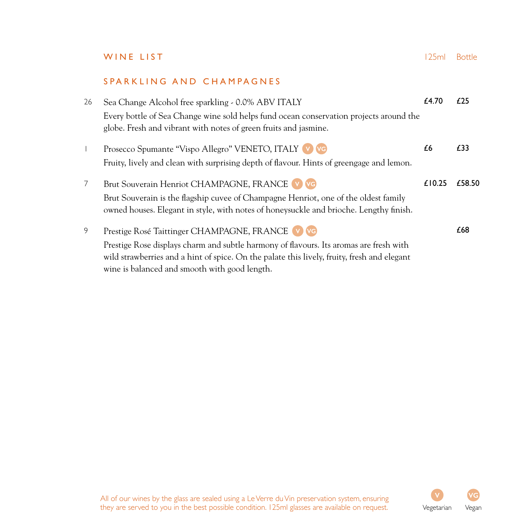### SPARKLING AND CHAMPAGNES

| 26             | Sea Change Alcohol free sparkling - 0.0% ABV ITALY                                                                                                         | £4.70  | £25    |
|----------------|------------------------------------------------------------------------------------------------------------------------------------------------------------|--------|--------|
|                | Every bottle of Sea Change wine sold helps fund ocean conservation projects around the<br>globe. Fresh and vibrant with notes of green fruits and jasmine. |        |        |
| $\mathbf{I}$   | Prosecco Spumante "Vispo Allegro" VENETO, ITALY V VG                                                                                                       | £6     | £33    |
|                | Fruity, lively and clean with surprising depth of flavour. Hints of greengage and lemon.                                                                   |        |        |
| $\overline{7}$ | Brut Souverain Henriot CHAMPAGNE, FRANCE V VG                                                                                                              | £10.25 | £58.50 |
|                | Brut Souverain is the flagship cuvee of Champagne Henriot, one of the oldest family                                                                        |        |        |
|                | owned houses. Elegant in style, with notes of honeysuckle and brioche. Lengthy finish.                                                                     |        |        |
| 9              | Prestige Rosé Taittinger CHAMPAGNE, FRANCE (v) VG                                                                                                          |        | £68    |
|                | Prestige Rose displays charm and subtle harmony of flavours. Its aromas are fresh with                                                                     |        |        |
|                | wild strawberries and a hint of spice. On the palate this lively, fruity, fresh and elegant                                                                |        |        |
|                | wine is balanced and smooth with good length.                                                                                                              |        |        |

All of our wines by the glass are sealed using a Le Verre du Vin preservation system, ensuring they are served to you in the best possible condition. 125ml glasses are available on request. Vegetarian Vegan

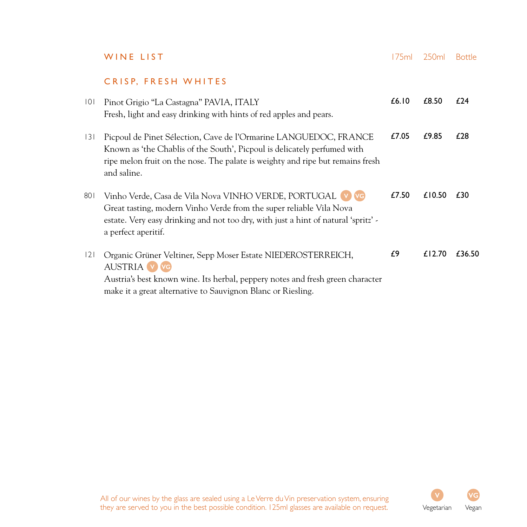|     | WINE LIST                                                                                                                                                                                                                                     | 175ml | 250ml  | <b>Bottle</b> |
|-----|-----------------------------------------------------------------------------------------------------------------------------------------------------------------------------------------------------------------------------------------------|-------|--------|---------------|
|     | CRISP, FRESH WHITES                                                                                                                                                                                                                           |       |        |               |
| 101 | Pinot Grigio "La Castagna" PAVIA, ITALY<br>Fresh, light and easy drinking with hints of red apples and pears.                                                                                                                                 | £6.10 | £8.50  | f 24          |
| 3   | Picpoul de Pinet Sélection, Cave de l'Ormarine LANGUEDOC, FRANCE<br>Known as 'the Chablis of the South', Picpoul is delicately perfumed with<br>ripe melon fruit on the nose. The palate is weighty and ripe but remains fresh<br>and saline. | £7.05 | £9.85  | £28           |
| 801 | Vinho Verde, Casa de Vila Nova VINHO VERDE, PORTUGAL V VG<br>Great tasting, modern Vinho Verde from the super reliable Vila Nova<br>estate. Very easy drinking and not too dry, with just a hint of natural 'spritz' -<br>a perfect aperitif. | £7.50 | £10.50 | £30           |
| 2   | Organic Grüner Veltiner, Sepp Moser Estate NIEDEROSTERREICH,<br><b>AUSTRIA v v</b> G<br>Austria's best known wine. Its herbal, peppery notes and fresh green character<br>make it a great alternative to Sauvignon Blanc or Riesling.         | £9    | £12.70 | £36.50        |

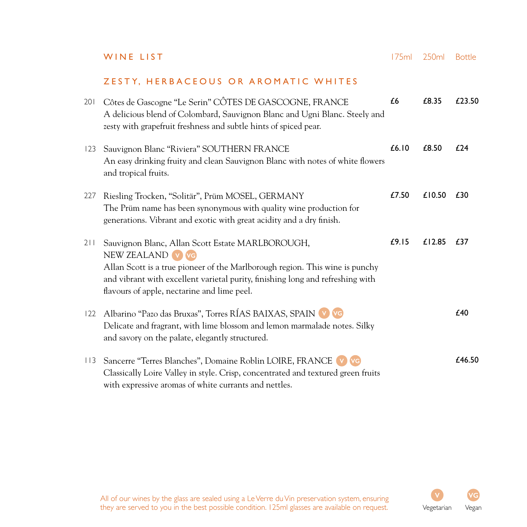**WINE LIST** 175ml 250ml Bottle

#### ZESTY, HERB ACEOUS OR AROMATIC WHITES

| 201 | Côtes de Gascogne "Le Serin" CÔTES DE GASCOGNE, FRANCE<br>A delicious blend of Colombard, Sauvignon Blanc and Ugni Blanc. Steely and<br>zesty with grapefruit freshness and subtle hints of spiced pear.                                                                              | £6    | £8.35  | £23.50 |
|-----|---------------------------------------------------------------------------------------------------------------------------------------------------------------------------------------------------------------------------------------------------------------------------------------|-------|--------|--------|
| 123 | Sauvignon Blanc "Riviera" SOUTHERN FRANCE<br>An easy drinking fruity and clean Sauvignon Blanc with notes of white flowers<br>and tropical fruits.                                                                                                                                    | £6.10 | £8.50  | £24    |
| 227 | Riesling Trocken, "Solitär", Prüm MOSEL, GERMANY<br>The Prüm name has been synonymous with quality wine production for<br>generations. Vibrant and exotic with great acidity and a dry finish.                                                                                        | £7.50 | £10.50 | £30    |
| 211 | Sauvignon Blanc, Allan Scott Estate MARLBOROUGH,<br>NEW ZEALAND V VG<br>Allan Scott is a true pioneer of the Marlborough region. This wine is punchy<br>and vibrant with excellent varietal purity, finishing long and refreshing with<br>flavours of apple, nectarine and lime peel. | £9.15 | £12.85 | £37    |
| 122 | Albarino "Pazo das Bruxas", Torres RÍAS BAIXAS, SPAIN V VG<br>Delicate and fragrant, with lime blossom and lemon marmalade notes. Silky<br>and savory on the palate, elegantly structured.                                                                                            |       |        | £40    |
| 113 | Sancerre "Terres Blanches", Domaine Roblin LOIRE, FRANCE V VG<br>Classically Loire Valley in style. Crisp, concentrated and textured green fruits<br>with expressive aromas of white currants and nettles.                                                                            |       |        | £46.50 |

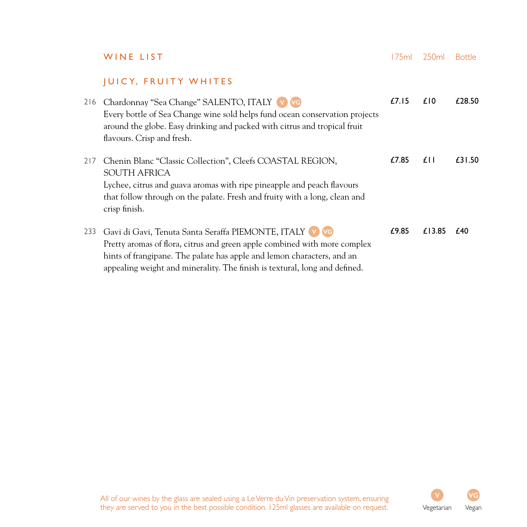|     | WINE LIST                                                                                                                                                                                                                                                                                    | 175ml | 250ml  | <b>Bottle</b> |
|-----|----------------------------------------------------------------------------------------------------------------------------------------------------------------------------------------------------------------------------------------------------------------------------------------------|-------|--------|---------------|
|     | <b>JUICY, FRUITY WHITES</b>                                                                                                                                                                                                                                                                  |       |        |               |
| 216 | Chardonnay "Sea Change" SALENTO, ITALY V VG<br>Every bottle of Sea Change wine sold helps fund ocean conservation projects<br>around the globe. Easy drinking and packed with citrus and tropical fruit<br>flavours. Crisp and fresh.                                                        | £7.15 | £10    | £28.50        |
| 217 | Chenin Blanc "Classic Collection", Cleefs COASTAL REGION,<br>SOUTH AFRICA<br>Lychee, citrus and guava aromas with ripe pineapple and peach flavours<br>that follow through on the palate. Fresh and fruity with a long, clean and<br>crisp finish.                                           | £7.85 | £II    | £31.50        |
| 233 | Gavi di Gavi, Tenuta Santa Seraffa PIEMONTE, ITALY V VG<br>Pretty aromas of flora, citrus and green apple combined with more complex<br>hints of frangipane. The palate has apple and lemon characters, and an<br>appealing weight and minerality. The finish is textural, long and defined. | £9.85 | £13.85 | £40           |

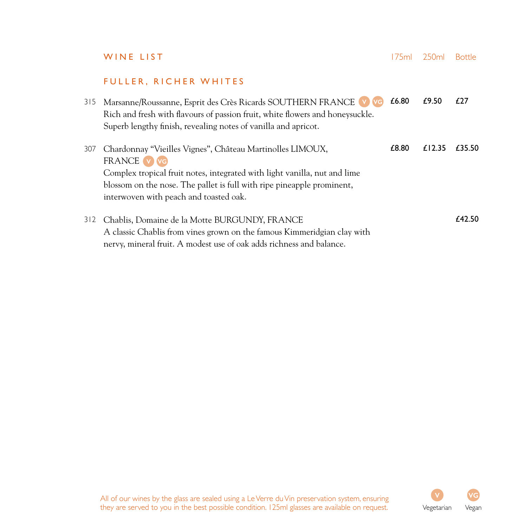**WINE LIST** 175ml 250ml Bottle

### FULLER, RICHER WHITES

| 315 | Marsanne/Roussanne, Esprit des Crès Ricards SOUTHERN FRANCE V VG<br>Rich and fresh with flavours of passion fruit, white flowers and honeysuckle.<br>Superb lengthy finish, revealing notes of vanilla and apricot.                                                       | £6.80 | £9.50  | f27    |
|-----|---------------------------------------------------------------------------------------------------------------------------------------------------------------------------------------------------------------------------------------------------------------------------|-------|--------|--------|
| 307 | Chardonnay "Vieilles Vignes", Château Martinolles LIMOUX,<br>FRANCE V VG<br>Complex tropical fruit notes, integrated with light vanilla, nut and lime<br>blossom on the nose. The pallet is full with ripe pineapple prominent,<br>interwoven with peach and toasted oak. | £8.80 | £12.35 | £35.50 |
| 312 | Chablis, Domaine de la Motte BURGUNDY, FRANCE<br>A classic Chablis from vines grown on the famous Kimmeridgian clay with<br>nervy, mineral fruit. A modest use of oak adds richness and balance.                                                                          |       |        | £42.50 |

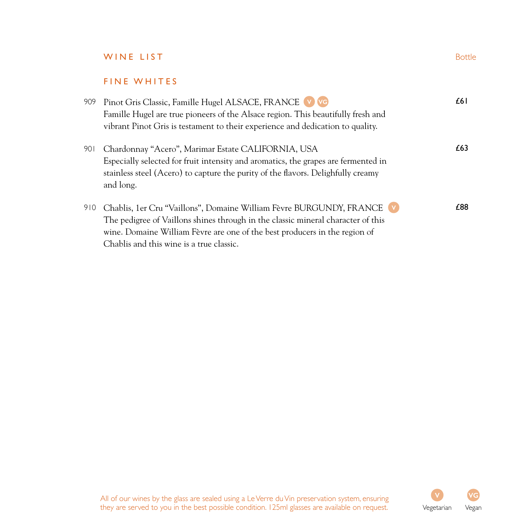# WINE LIST Bottle

#### FINE WHITES

| 909 | Pinot Gris Classic, Famille Hugel ALSACE, FRANCE V VG                              | £61  |
|-----|------------------------------------------------------------------------------------|------|
|     | Famille Hugel are true pioneers of the Alsace region. This beautifully fresh and   |      |
|     | vibrant Pinot Gris is testament to their experience and dedication to quality.     |      |
| 901 | Chardonnay "Acero", Marimar Estate CALIFORNIA, USA                                 | £63. |
|     | Especially selected for fruit intensity and aromatics, the grapes are fermented in |      |
|     | stainless steel (Acero) to capture the purity of the flavors. Delighfully creamy   |      |
|     | and long.                                                                          |      |
| 910 | Chablis, 1er Cru "Vaillons", Domaine William Fèvre BURGUNDY, FRANCE                | £88  |
|     | The pedigree of Vaillons shines through in the classic mineral character of this   |      |
|     | wine. Domaine William Fèvre are one of the best producers in the region of         |      |
|     | Chablis and this wine is a true classic.                                           |      |

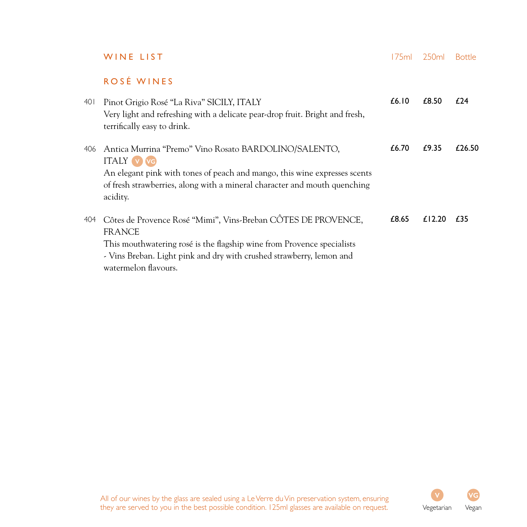|      | WINE LIST                                                                                                                                                                                                                                                | l 75ml | 250 <sub>ml</sub> | <b>Bottle</b> |
|------|----------------------------------------------------------------------------------------------------------------------------------------------------------------------------------------------------------------------------------------------------------|--------|-------------------|---------------|
|      | ROSÉ WINES                                                                                                                                                                                                                                               |        |                   |               |
| 40 I | Pinot Grigio Rosé "La Riva" SICILY, ITALY<br>Very light and refreshing with a delicate pear-drop fruit. Bright and fresh,<br>terrifically easy to drink.                                                                                                 | £6.10  | £8.50             | £24           |
| 406  | Antica Murrina "Premo" Vino Rosato BARDOLINO/SALENTO,<br><b>ITALY</b> (v) vg<br>An elegant pink with tones of peach and mango, this wine expresses scents<br>of fresh strawberries, along with a mineral character and mouth quenching<br>acidity.       | £6.70  | £9.35             | £26.50        |
| 404  | Côtes de Provence Rosé "Mimi", Vins-Breban CÔTES DE PROVENCE,<br><b>FRANCE</b><br>This mouthwatering rosé is the flagship wine from Provence specialists<br>- Vins Breban. Light pink and dry with crushed strawberry, lemon and<br>watermelon flavours. | £8.65  | £12.20            | £35           |

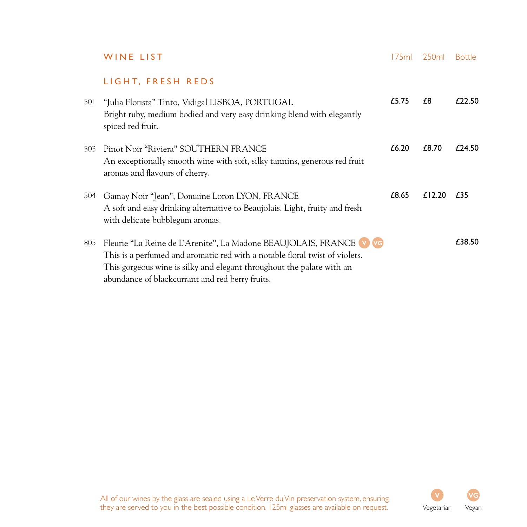|     | WINE LIST                                                                                                                                                                                                                                                                     | 175ml | 250ml  | <b>Bottle</b> |
|-----|-------------------------------------------------------------------------------------------------------------------------------------------------------------------------------------------------------------------------------------------------------------------------------|-------|--------|---------------|
|     | LIGHT, FRESH REDS                                                                                                                                                                                                                                                             |       |        |               |
| 501 | "Julia Florista" Tinto, Vidigal LISBOA, PORTUGAL<br>Bright ruby, medium bodied and very easy drinking blend with elegantly<br>spiced red fruit.                                                                                                                               | £5.75 | £8     | f22.50        |
| 503 | Pinot Noir "Riviera" SOUTHERN FRANCE<br>An exceptionally smooth wine with soft, silky tannins, generous red fruit<br>aromas and flavours of cherry.                                                                                                                           | £6.20 | £8.70  | £24.50        |
| 504 | Gamay Noir "Jean", Domaine Loron LYON, FRANCE<br>A soft and easy drinking alternative to Beaujolais. Light, fruity and fresh<br>with delicate bubblegum aromas.                                                                                                               | £8.65 | £12.20 | £35           |
| 805 | Fleurie "La Reine de L'Arenite", La Madone BEAUJOLAIS, FRANCE V VG<br>This is a perfumed and aromatic red with a notable floral twist of violets.<br>This gorgeous wine is silky and elegant throughout the palate with an<br>abundance of blackcurrant and red berry fruits. |       |        | £38.50        |

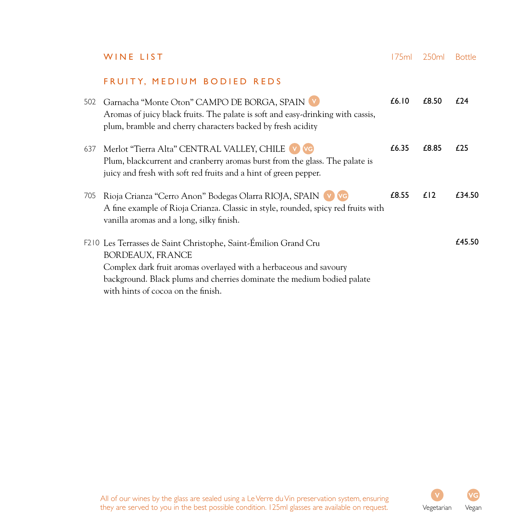**WINE LIST** 175ml 250ml Bottle

#### FRUITY, MEDIUM BODIED REDS

| 502 | Garnacha "Monte Oton" CAMPO DE BORGA, SPAIN V<br>Aromas of juicy black fruits. The palate is soft and easy-drinking with cassis,<br>plum, bramble and cherry characters backed by fresh acidity                                                                                 | £6.10 | £8.50 | f24    |
|-----|---------------------------------------------------------------------------------------------------------------------------------------------------------------------------------------------------------------------------------------------------------------------------------|-------|-------|--------|
| 637 | Merlot "Tierra Alta" CENTRAL VALLEY, CHILE V VG<br>Plum, blackcurrent and cranberry aromas burst from the glass. The palate is<br>juicy and fresh with soft red fruits and a hint of green pepper.                                                                              | £6.35 | £8.85 | £25    |
| 705 | Rioja Crianza "Cerro Anon" Bodegas Olarra RIOJA, SPAIN V VG<br>A fine example of Rioja Crianza. Classic in style, rounded, spicy red fruits with<br>vanilla aromas and a long, silky finish.                                                                                    | £8.55 | £12   | £34.50 |
|     | F210 Les Terrasses de Saint Christophe, Saint-Émilion Grand Cru<br><b>BORDEAUX, FRANCE</b><br>Complex dark fruit aromas overlayed with a herbaceous and savoury<br>background. Black plums and cherries dominate the medium bodied palate<br>with hints of cocoa on the finish. |       |       | £45.50 |

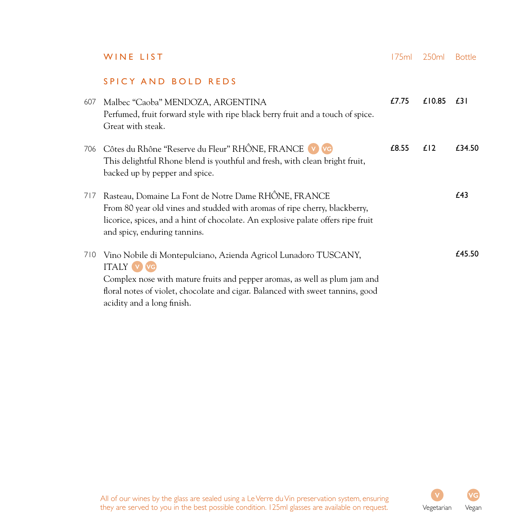|     | WINE LIST                                                                                                                                                                                                                                                                          | 175ml | 250 <sub>ml</sub> | <b>Bottle</b> |
|-----|------------------------------------------------------------------------------------------------------------------------------------------------------------------------------------------------------------------------------------------------------------------------------------|-------|-------------------|---------------|
|     | SPICY AND BOLD REDS                                                                                                                                                                                                                                                                |       |                   |               |
| 607 | Malbec "Caoba" MENDOZA, ARGENTINA<br>Perfumed, fruit forward style with ripe black berry fruit and a touch of spice.<br>Great with steak.                                                                                                                                          | £7.75 | £10.85            | £31           |
| 706 | Côtes du Rhône "Reserve du Fleur" RHÔNE, FRANCE V VG<br>This delightful Rhone blend is youthful and fresh, with clean bright fruit,<br>backed up by pepper and spice.                                                                                                              | £8.55 | £12               | £34.50        |
| 717 | Rasteau, Domaine La Font de Notre Dame RHÔNE, FRANCE<br>From 80 year old vines and studded with aromas of ripe cherry, blackberry,<br>licorice, spices, and a hint of chocolate. An explosive palate offers ripe fruit<br>and spicy, enduring tannins.                             |       |                   | £43           |
| 710 | Vino Nobile di Montepulciano, Azienda Agricol Lunadoro TUSCANY,<br><b>ITALY V VG</b><br>Complex nose with mature fruits and pepper aromas, as well as plum jam and<br>floral notes of violet, chocolate and cigar. Balanced with sweet tannins, good<br>acidity and a long finish. |       |                   | £45.50        |

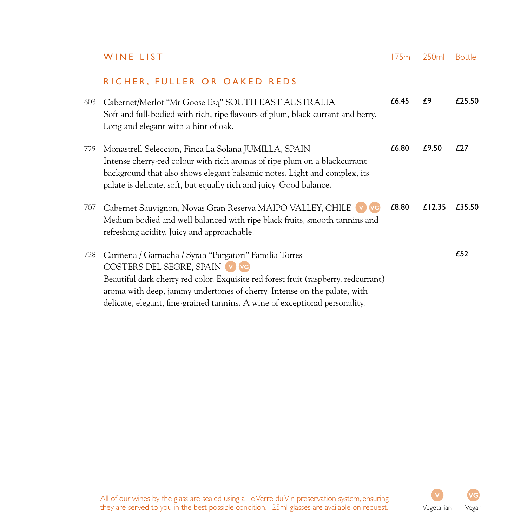|     | WINE LIST                                                                                                                                                                                                                                                                                                                                 | 175ml | 250ml  | <b>Bottle</b> |
|-----|-------------------------------------------------------------------------------------------------------------------------------------------------------------------------------------------------------------------------------------------------------------------------------------------------------------------------------------------|-------|--------|---------------|
|     | RICHER, FULLER OR OAKED REDS                                                                                                                                                                                                                                                                                                              |       |        |               |
| 603 | Cabernet/Merlot "Mr Goose Esq" SOUTH EAST AUSTRALIA<br>Soft and full-bodied with rich, ripe flavours of plum, black currant and berry.<br>Long and elegant with a hint of oak.                                                                                                                                                            | £6.45 | £9     | £25.50        |
| 729 | Monastrell Seleccion, Finca La Solana JUMILLA, SPAIN<br>Intense cherry-red colour with rich aromas of ripe plum on a blackcurrant<br>background that also shows elegant balsamic notes. Light and complex, its<br>palate is delicate, soft, but equally rich and juicy. Good balance.                                                     | £6.80 | £9.50  | £27           |
| 707 | Cabernet Sauvignon, Novas Gran Reserva MAIPO VALLEY, CHILE<br>Medium bodied and well balanced with ripe black fruits, smooth tannins and<br>refreshing acidity. Juicy and approachable.                                                                                                                                                   | £8.80 | £12.35 | £35.50        |
| 728 | Cariñena / Garnacha / Syrah "Purgatori" Familia Torres<br>COSTERS DEL SEGRE, SPAIN V VG<br>Beautiful dark cherry red color. Exquisite red forest fruit (raspberry, redcurrant)<br>aroma with deep, jammy undertones of cherry. Intense on the palate, with<br>delicate, elegant, fine-grained tannins. A wine of exceptional personality. |       |        | £52           |

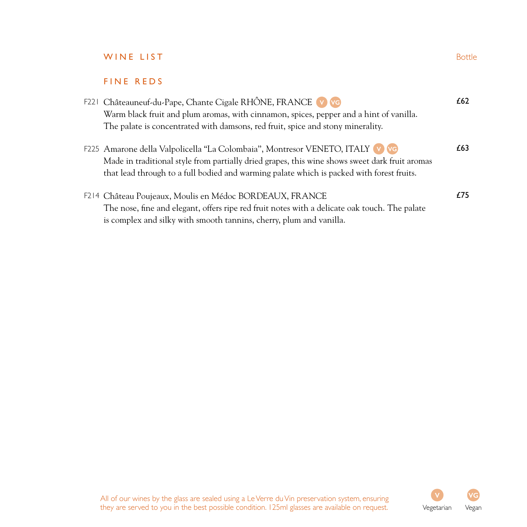# WINE LIST Bottle

### FINE REDS

|  | F221 Châteauneuf-du-Pape, Chante Cigale RHÔNE, FRANCE V VG                                                                                                                                  | £62 |
|--|---------------------------------------------------------------------------------------------------------------------------------------------------------------------------------------------|-----|
|  | Warm black fruit and plum aromas, with cinnamon, spices, pepper and a hint of vanilla.                                                                                                      |     |
|  | The palate is concentrated with damsons, red fruit, spice and stony minerality.                                                                                                             |     |
|  | F225 Amarone della Valpolicella "La Colombaia", Montresor VENETO, ITALY V                                                                                                                   | £63 |
|  | Made in traditional style from partially dried grapes, this wine shows sweet dark fruit aromas<br>that lead through to a full bodied and warming palate which is packed with forest fruits. |     |
|  | F214 Château Poujeaux, Moulis en Médoc BORDEAUX, FRANCE                                                                                                                                     | £75 |
|  | The nose, fine and elegant, offers ripe red fruit notes with a delicate oak touch. The palate                                                                                               |     |
|  | is complex and silky with smooth tannins, cherry, plum and vanilla.                                                                                                                         |     |

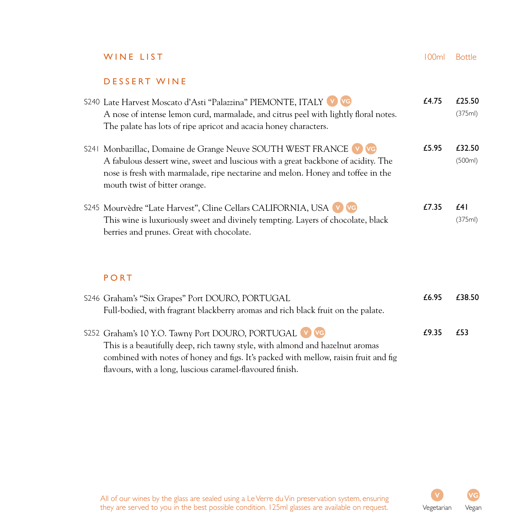# WINE LIST 100ml Bottle

#### DESSERT WINE

| S240 Late Harvest Moscato d'Asti "Palazzina" PIEMONTE, ITALY V VG<br>A nose of intense lemon curd, marmalade, and citrus peel with lightly floral notes.<br>The palate has lots of ripe apricot and acacia honey characters.                                              | £4.75 | £25.50<br>(375ml) |
|---------------------------------------------------------------------------------------------------------------------------------------------------------------------------------------------------------------------------------------------------------------------------|-------|-------------------|
| S241 Monbazillac, Domaine de Grange Neuve SOUTH WEST FRANCE V VG<br>A fabulous dessert wine, sweet and luscious with a great backbone of acidity. The<br>nose is fresh with marmalade, ripe nectarine and melon. Honey and toffee in the<br>mouth twist of bitter orange. | £5.95 | £32.50<br>(500ml) |
| \$245 Mourvèdre "Late Harvest", Cline Cellars CALIFORNIA, USA<br>This wine is luxuriously sweet and divinely tempting. Layers of chocolate, black<br>berries and prunes. Great with chocolate.                                                                            | £7.35 | £41<br>(375ml)    |
| PORT                                                                                                                                                                                                                                                                      |       |                   |
| S246 Graham's "Six Grapes" Port DOURO, PORTUGAL                                                                                                                                                                                                                           | £6.95 | £38.50            |

| $\frac{1}{2}$ . Similarly singlet to the second principal state $\frac{1}{2}$<br>Full-bodied, with fragrant blackberry aromas and rich black fruit on the palate. |       |     |
|-------------------------------------------------------------------------------------------------------------------------------------------------------------------|-------|-----|
| \$252 Graham's 10 Y.O. Tawny Port DOURO, PORTUGAL V VG                                                                                                            | £9.35 | £53 |
| This is a beautifully deep, rich tawny style, with almond and hazelnut aromas                                                                                     |       |     |
| combined with notes of honey and figs. It's packed with mellow, raisin fruit and fig                                                                              |       |     |
| flavours, with a long, luscious caramel-flavoured finish.                                                                                                         |       |     |